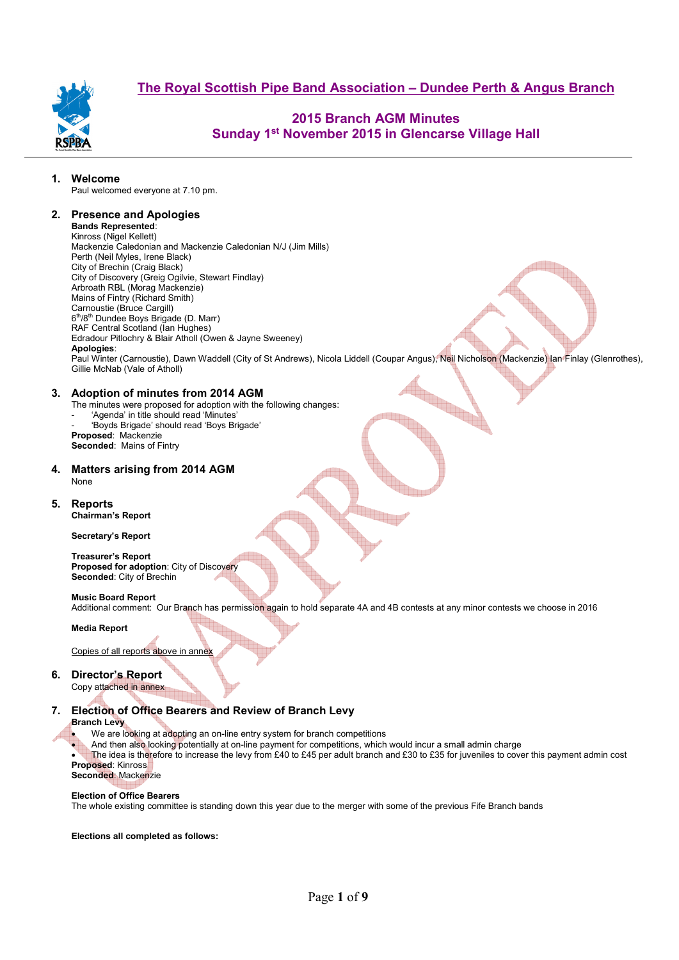

## **2015 Branch AGM Minutes Sunday 1st November 2015 in Glencarse Village Hall**

### **1. Welcome**

Paul welcomed everyone at 7.10 pm.

### **2. Presence and Apologies**

#### **Bands Represented**: Kinross (Nigel Kellett) Mackenzie Caledonian and Mackenzie Caledonian N/J (Jim Mills) Perth (Neil Myles, Irene Black) City of Brechin (Craig Black) City of Discovery (Greig Ogilvie, Stewart Findlay) Arbroath RBL (Morag Mackenzie)

Mains of Fintry (Richard Smith) Carnoustie (Bruce Cargill) 6<sup>th</sup>/8<sup>th</sup> Dundee Boys Brigade (D. Marr) RAF Central Scotland (Ian Hughes) Edradour Pitlochry & Blair Atholl (Owen & Jayne Sweeney) **Apologies**: Paul Winter (Carnoustie), Dawn Waddell (City of St Andrews), Nicola Liddell (Coupar Angus), Neil Nicholson (Mackenzie) Ian Finlay (Glenrothes), Gillie McNab (Vale of Atholl)

### **3. Adoption of minutes from 2014 AGM**

The minutes were proposed for adoption with the following changes:

- 'Agenda' in title should read 'Minutes'
- 'Boyds Brigade' should read 'Boys Brigade'

**Proposed**: Mackenzie **Seconded**: Mains of Fintry

#### **4. Matters arising from 2014 AGM**  None

### **5. Reports Chairman's Report**

### **Secretary's Report**

**Treasurer's Report Proposed for adoption**: City of Discovery **Seconded**: City of Brechin

## **Music Board Report**

Additional comment: Our Branch has permission again to hold separate 4A and 4B contests at any minor contests we choose in 2016

### **Media Report**

Copies of all reports above in annex

## **6. Director's Report**

Copy attached in annex

## **7. Election of Office Bearers and Review of Branch Levy**

### **Branch Levy**

We are looking at adopting an on-line entry system for branch competitions

• And then also looking potentially at on-line payment for competitions, which would incur a small admin charge

The idea is therefore to increase the levy from £40 to £45 per adult branch and £30 to £35 for juveniles to cover this payment admin cost **Proposed**: Kinross

## **Seconded**: Mackenzie

### **Election of Office Bearers**

The whole existing committee is standing down this year due to the merger with some of the previous Fife Branch bands

### **Elections all completed as follows:**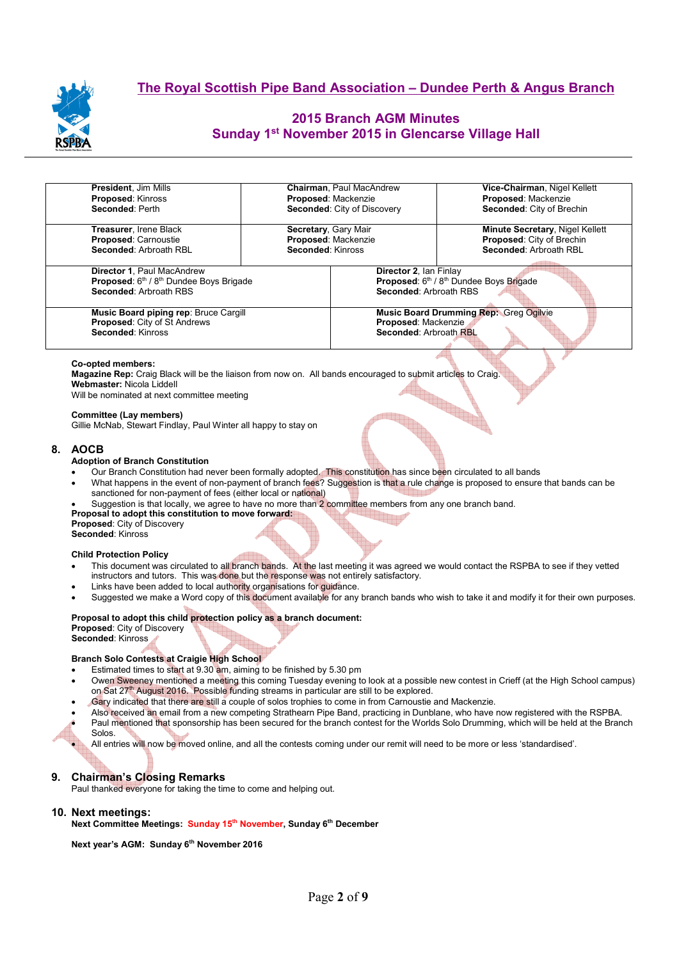

## **2015 Branch AGM Minutes Sunday 1st November 2015 in Glencarse Village Hall**

| <b>President, Jim Mills</b>             | <b>Chairman, Paul MacAndrew</b> | Vice-Chairman, Nigel Kellett                                                            |  |  |  |  |
|-----------------------------------------|---------------------------------|-----------------------------------------------------------------------------------------|--|--|--|--|
| <b>Proposed: Kinross</b>                | Proposed: Mackenzie             | Proposed: Mackenzie                                                                     |  |  |  |  |
| Seconded: Perth                         | Seconded: City of Discovery     | Seconded: City of Brechin                                                               |  |  |  |  |
| <b>Treasurer, Irene Black</b>           | Secretary, Gary Mair            | Minute Secretary, Nigel Kellett                                                         |  |  |  |  |
| <b>Proposed: Carnoustie</b>             | Proposed: Mackenzie             | Proposed: City of Brechin                                                               |  |  |  |  |
| Seconded: Arbroath RBL                  | Seconded: Kinross               | Seconded: Arbroath RBL                                                                  |  |  |  |  |
| <b>Director 1. Paul MacAndrew</b>       |                                 | Director 2, Ian Finlay<br>Proposed: 6th / 8th Dundee Boys Brigade                       |  |  |  |  |
| Proposed: 6th / 8th Dundee Boys Brigade |                                 |                                                                                         |  |  |  |  |
| Seconded: Arbroath RBS                  |                                 | Seconded: Arbroath RBS                                                                  |  |  |  |  |
| Music Board piping rep: Bruce Cargill   |                                 | Music Board Drumming Rep: Greg Ogilvie<br>Proposed: Mackenzie<br>Seconded: Arbroath RBL |  |  |  |  |
| <b>Proposed: City of St Andrews</b>     |                                 |                                                                                         |  |  |  |  |
| Seconded: Kinross                       |                                 |                                                                                         |  |  |  |  |

#### **Co-opted members:**

**Magazine Rep:** Craig Black will be the liaison from now on. All bands encouraged to submit articles to Craig.<br> **Webmaster:** Nicola Liddell<br>
Will be nominated at next committee meeting. **Webmaster:** Nicola Liddell

Will be nominated at next committee meeting

#### **Committee (Lay members)**

Gillie McNab, Stewart Findlay, Paul Winter all happy to stay on

#### **8. AOCB**

#### **Adoption of Branch Constitution**

- Our Branch Constitution had never been formally adopted. This constitution has since been circulated to all bands
- What happens in the event of non-payment of branch fees? Suggestion is that a rule change is proposed to ensure that bands can be sanctioned for non-payment of fees (either local or national)

- Suggestion is that locally, we agree to have no more than 2 committee members from any one branch band.
- **Proposal to adopt this constitution to move forward:**

**Proposed**: City of Discovery **Seconded**: Kinross

#### **Child Protection Policy**

- This document was circulated to all branch bands. At the last meeting it was agreed we would contact the RSPBA to see if they vetted instructors and tutors. This was done but the response was not entirely satisfactory.
- Links have been added to local authority organisations for guidance.
- Suggested we make a Word copy of this document available for any branch bands who wish to take it and modify it for their own purposes.

### **Proposal to adopt this child protection policy as a branch document:**

**Proposed**: City of Discovery **Seconded**: Kinross

#### **Branch Solo Contests at Craigie High School**

- Estimated times to start at 9.30 am, aiming to be finished by 5.30 pm
- Owen Sweeney mentioned a meeting this coming Tuesday evening to look at a possible new contest in Crieff (at the High School campus) on Sat 27<sup>th</sup> August 2016. Possible funding streams in particular are still to be explored.
- Gary indicated that there are still a couple of solos trophies to come in from Carnoustie and Mackenzie.
- Also received an email from a new competing Strathearn Pipe Band, practicing in Dunblane, who have now registered with the RSPBA.
- Paul mentioned that sponsorship has been secured for the branch contest for the Worlds Solo Drumming, which will be held at the Branch Solos.

• All entries will now be moved online, and all the contests coming under our remit will need to be more or less 'standardised'.

### **9. Chairman's Closing Remarks**

Paul thanked everyone for taking the time to come and helping out.

### **10. Next meetings:**

**Next Committee Meetings: Sunday 15th November, Sunday 6th December** 

**Next year's AGM: Sunday 6th November 2016**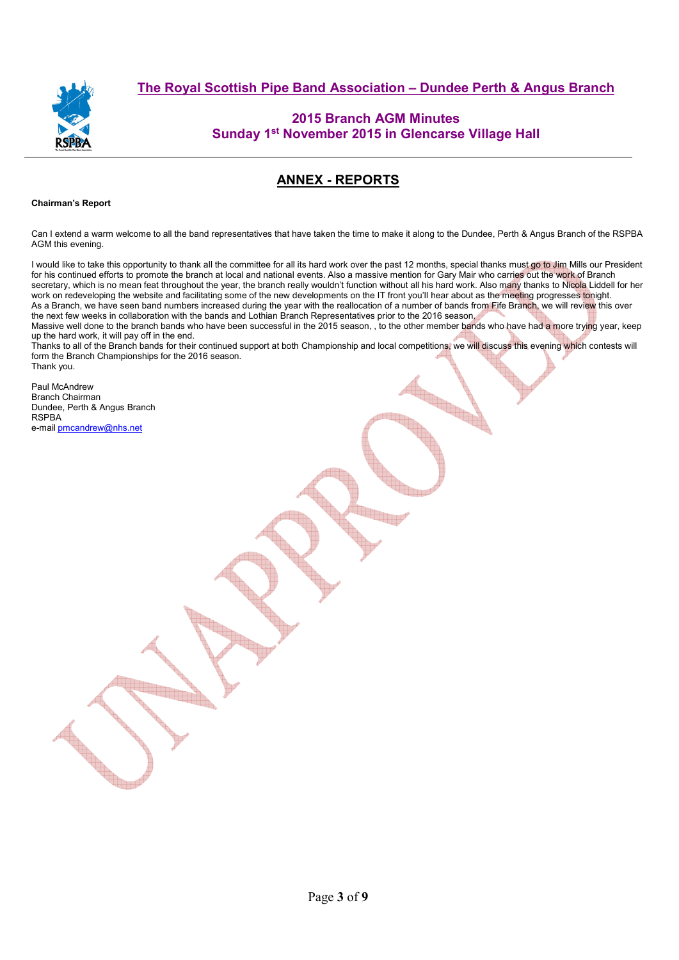

## **2015 Branch AGM Minutes Sunday 1st November 2015 in Glencarse Village Hall**

# **ANNEX - REPORTS**

### **Chairman's Report**

Can I extend a warm welcome to all the band representatives that have taken the time to make it along to the Dundee, Perth & Angus Branch of the RSPBA AGM this evening.

I would like to take this opportunity to thank all the committee for all its hard work over the past 12 months, special thanks must go to Jim Mills our President for his continued efforts to promote the branch at local and national events. Also a massive mention for Gary Mair who carries out the work of Branch secretary, which is no mean feat throughout the year, the branch really wouldn't function without all his hard work. Also many thanks to Nicola Liddell for her work on redeveloping the website and facilitating some of the new developments on the IT front you'll hear about as the meeting progresses tonight. As a Branch, we have seen band numbers increased during the year with the reallocation of a number of bands from Fife Branch, we will review this over the next few weeks in collaboration with the bands and Lothian Branch Representatives prior to the 2016 season. Massive well done to the branch bands who have been successful in the 2015 season,, to the other member bands who have had a more trying year, keep up the hard work, it will pay off in the end.

Thanks to all of the Branch bands for their continued support at both Championship and local competitions, we will discuss this evening which contests will form the Branch Championships for the 2016 season. Thank you.

Paul McAndrew Branch Chairman Dundee, Perth & Angus Branch **RSPBA** e-mail pmcandrew@nhs.net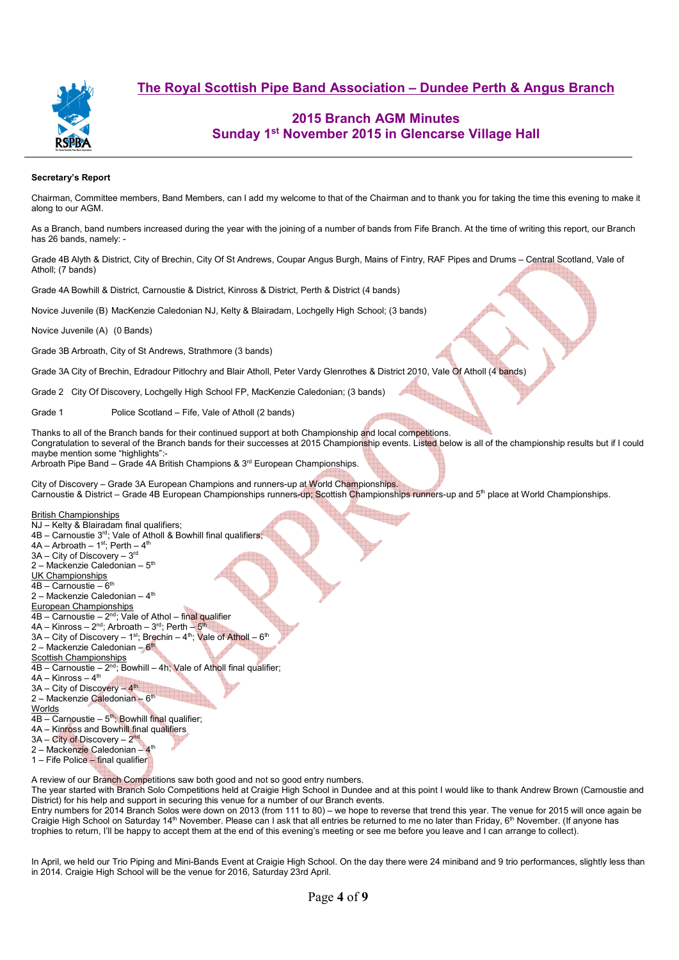

## **2015 Branch AGM Minutes Sunday 1st November 2015 in Glencarse Village Hall**

#### **Secretary's Report**

Chairman, Committee members, Band Members, can I add my welcome to that of the Chairman and to thank you for taking the time this evening to make it along to our AGM.

As a Branch, band numbers increased during the year with the joining of a number of bands from Fife Branch. At the time of writing this report, our Branch has 26 bands, namely: -

Grade 4B Alyth & District, City of Brechin, City Of St Andrews, Coupar Angus Burgh, Mains of Fintry, RAF Pipes and Drums – Central Scotland, Vale of Atholl; (7 bands)

Grade 4A Bowhill & District, Carnoustie & District, Kinross & District, Perth & District (4 bands)

Novice Juvenile (B) MacKenzie Caledonian NJ, Kelty & Blairadam, Lochgelly High School; (3 bands)

Novice Juvenile (A) (0 Bands)

Grade 3B Arbroath, City of St Andrews, Strathmore (3 bands)

Grade 3A City of Brechin, Edradour Pitlochry and Blair Atholl, Peter Vardy Glenrothes & District 2010, Vale Of Atholl (4 bands)

Grade 2 City Of Discovery, Lochgelly High School FP, MacKenzie Caledonian; (3 bands)

Grade 1 **Police Scotland – Fife, Vale of Atholl (2 bands)** 

Thanks to all of the Branch bands for their continued support at both Championship and local competitions. Congratulation to several of the Branch bands for their successes at 2015 Championship events. Listed below is all of the championship results but if I could maybe mention some "highlights":-

Arbroath Pipe Band – Grade 4A British Champions & 3<sup>rd</sup> European Championships.

City of Discovery – Grade 3A European Champions and runners-up at World Championships. Carnoustie & District – Grade 4B European Championships runners-up; Scottish Championships runners-up and 5<sup>th</sup> place at World Championships.

#### British Championships

NJ – Kelty & Blairadam final qualifiers; 4B – Carnoustie 3rd; Vale of Atholl & Bowhill final qualifiers;  $4A - Arbroath - 1<sup>st</sup>; Pert + 4<sup>th</sup>$ 3A – City of Discovery – 3rd 2 – Mackenzie Caledonian –  $5<sup>th</sup>$ UK Championships  $4B -$ Carnoustie –  $6<sup>th</sup>$ 2 – Mackenzie Caledonian –  $4<sup>th</sup>$ European Championships  $\overline{AB}$  – Carnoustie –  $2^{nd}$ ; Vale of Athol – final qualifier  $4A -$  Kinross –  $2<sup>nd</sup>$ ; Arbroath –  $3<sup>rd</sup>$ ; Perth –  $5<sup>rd</sup>$  $3A - City$  of Discovery – 1<sup>st</sup>; Brechin – 4<sup>th</sup>; Vale of Atholl – 6<sup>th</sup>  $2 -$ Mackenzie Caledonian – 6<sup>th</sup> **Scottish Championships**  $\overline{AB}$  – Carnoustie –  $2^{nd}$ ; Bowhill – 4h; Vale of Atholl final qualifier;  $4A -$ Kinross –  $4<sup>th</sup>$  $3A - City$  of Discovery  $-4<sup>th</sup>$ 2 – Mackenzie Caledonian – 6<sup>th</sup> **Worlds**  $\overline{AB -}$ Carnoustie – 5<sup>th</sup>; Bowhill final qualifier; 4A – Kinross and Bowhill final qualifiers 3A – City of Discovery – 2nd 2 – Mackenzie Caledonian -1 – Fife Police – final qualifier

A review of our Branch Competitions saw both good and not so good entry numbers.

The year started with Branch Solo Competitions held at Craigie High School in Dundee and at this point I would like to thank Andrew Brown (Carnoustie and District) for his help and support in securing this venue for a number of our Branch events.

Entry numbers for 2014 Branch Solos were down on 2013 (from 111 to 80) – we hope to reverse that trend this year. The venue for 2015 will once again be Craigie High School on Saturday 14<sup>th</sup> November. Please can I ask that all entries be returned to me no later than Friday, 6<sup>th</sup> November. (If anyone has trophies to return, I'll be happy to accept them at the end of this evening's meeting or see me before you leave and I can arrange to collect).

In April, we held our Trio Piping and Mini-Bands Event at Craigie High School. On the day there were 24 miniband and 9 trio performances, slightly less than in 2014. Craigie High School will be the venue for 2016, Saturday 23rd April.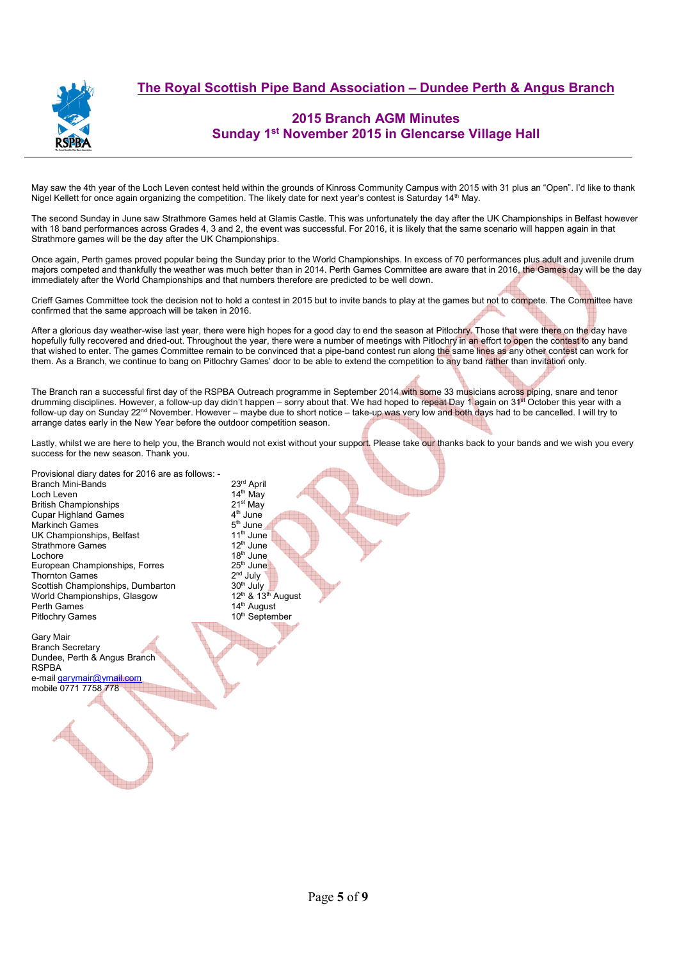

## **2015 Branch AGM Minutes Sunday 1st November 2015 in Glencarse Village Hall**

May saw the 4th year of the Loch Leven contest held within the grounds of Kinross Community Campus with 2015 with 31 plus an "Open". I'd like to thank Nigel Kellett for once again organizing the competition. The likely date for next year's contest is Saturday 14<sup>th</sup> May.

The second Sunday in June saw Strathmore Games held at Glamis Castle. This was unfortunately the day after the UK Championships in Belfast however with 18 band performances across Grades 4, 3 and 2, the event was successful. For 2016, it is likely that the same scenario will happen again in that Strathmore games will be the day after the UK Championships.

Once again, Perth games proved popular being the Sunday prior to the World Championships. In excess of 70 performances plus adult and juvenile drum majors competed and thankfully the weather was much better than in 2014. Perth Games Committee are aware that in 2016, the Games day will be the day immediately after the World Championships and that numbers therefore are predicted to be well down.

Crieff Games Committee took the decision not to hold a contest in 2015 but to invite bands to play at the games but not to compete. The Committee have confirmed that the same approach will be taken in 2016.

After a glorious day weather-wise last year, there were high hopes for a good day to end the season at Pitlochry. Those that were there on the day have hopefully fully recovered and dried-out. Throughout the year, there were a number of meetings with Pitlochry in an effort to open the contest to any band that wished to enter. The games Committee remain to be convinced that a pipe-band contest run along the same lines as any other contest can work for them. As a Branch, we continue to bang on Pitlochry Games' door to be able to extend the competition to any band rather than invitation only.

The Branch ran a successful first day of the RSPBA Outreach programme in September 2014 with some 33 musicians across piping, snare and tenor drumming disciplines. However, a follow-up day didn't happen – sorry about that. We had hoped to repeat Day 1 again on 31st October this year with a follow-up day on Sunday 22nd November. However – maybe due to short notice – take-up was very low and both days had to be cancelled. I will try to arrange dates early in the New Year before the outdoor competition season.

Lastly, whilst we are here to help you, the Branch would not exist without your support. Please take our thanks back to your bands and we wish you every success for the new season. Thank you.

Provisional diary dates for 2016 are as follows: - Branch Mini-Bands<br>
Loch Leven 14<sup>th</sup> May Loch Leven 14<sup>th</sup> May<br>British Championships 21<sup>st</sup> May British Championships 21st May<br>Cupar Highland Games 2008 14th June Cupar Highland Games 4th June Markinch Games 5th June UK Championships, Belfast 11<sup>th</sup> June 11<sup>th</sup> June 3trathmore Games Strathmore Games<br>Lochore European Championships, Forres 25<sup>th</sup> June 25<sup>th</sup> June 25th June 2<sup>nd</sup> July Thornton Games  $2<sup>nd</sup> July$ <sup>3</sup><br>Scottish Championships. Dumbarton  $30<sup>th</sup>$  July Scottish Championships, Dumbarton  $30^{\text{th}}$  July  $30^{\text{th}}$  July  $30^{\text{th}}$  August World Championships. Glasgow  $12^{\text{th}}$  &  $13^{\text{th}}$  August World Championships, Glasgow<br>Perth Games Pitlochry Games

Gary Mair Branch Secretary Dundee, Perth & Angus Branch RSPBA e-mail garymair@ymail.com mobile 0771 7758 778

Service of the contract of the contract of the contract of the contract of the contract of the contract of the contract of the contract of the contract of the contract of the contract of the contract of the contract of the

 $18<sup>th</sup>$  June<br>25<sup>th</sup> June  $14<sup>th</sup>$  August<br> $10<sup>th</sup>$  September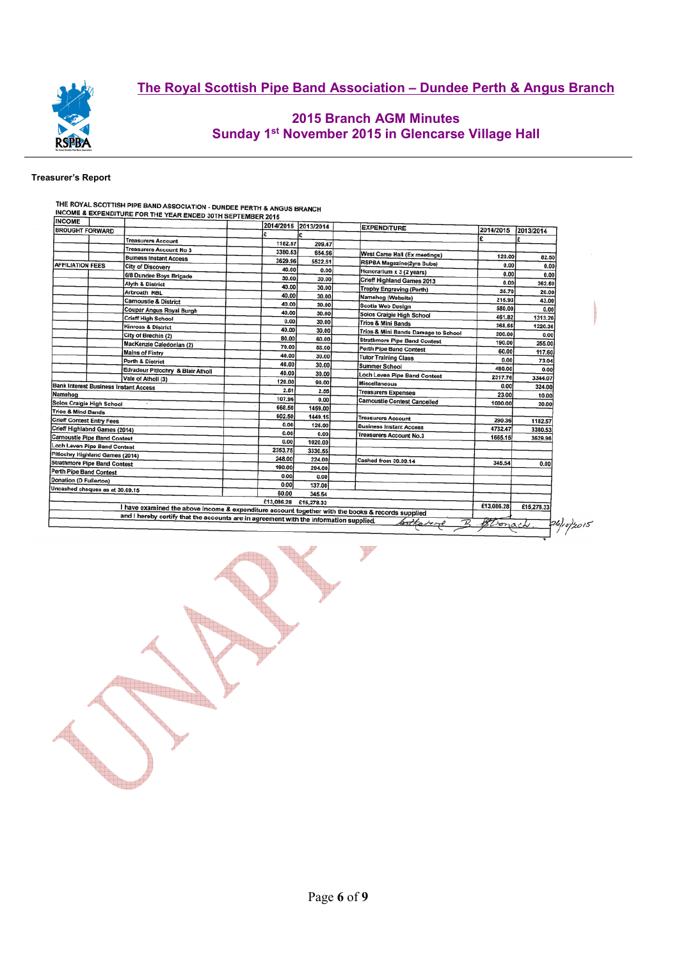

## **2015 Branch AGM Minutes Sunday 1st November 2015 in Glencarse Village Hall**

### **Treasurer's Report**

| <b>INCOME</b>                                                                                     |                          |                                                                                        |            |         | 2014/2015 2013/2014                 | <b>EXPENDITURE</b>                                                         |             |            |
|---------------------------------------------------------------------------------------------------|--------------------------|----------------------------------------------------------------------------------------|------------|---------|-------------------------------------|----------------------------------------------------------------------------|-------------|------------|
| <b>BROUGHT FORWARD</b>                                                                            |                          |                                                                                        |            |         |                                     | 2014/2015                                                                  | 2013/2014   |            |
|                                                                                                   |                          | <b>Treasurers Account</b>                                                              |            | 1182.57 | 209.47                              |                                                                            |             |            |
|                                                                                                   |                          | Treasurers Account No 3                                                                |            | 3380.53 | 654.56                              | West Carse Hall (Ex meetings)                                              |             |            |
|                                                                                                   |                          | <b>Buiness Instant Access</b>                                                          |            | 3629.96 | 5522.51                             | <b>RSPBA Magazine(2yrs Subs)</b>                                           | 120.00      | 82.50      |
| <b>AFFILIATION FEES</b>                                                                           |                          | <b>City of Discovery</b>                                                               |            | 40.00   | 0.00                                | Honorarium x 3 (2 years)                                                   | 0.00        | 0.00       |
|                                                                                                   |                          | 6/8 Dundee Boys Brigade                                                                |            | 30.00   | 30.00                               | Crieff Highland Games 2013                                                 | 0.00        | 0.00       |
|                                                                                                   |                          | <b>Alyth &amp; District</b>                                                            |            | 40.00   | 30.00                               | Trophy Engraving (Perth)                                                   | 0.00        | 262.50     |
|                                                                                                   |                          | Arbroath RBL                                                                           |            | 40.00   | 30.00                               | Namehog (Website)                                                          | 35.70       | 20.00      |
|                                                                                                   |                          | <b>Carnoustie &amp; District</b>                                                       |            | 40.00   | 30.00                               | Scotia Web Design                                                          | 215.93      | 43.00      |
|                                                                                                   | Coupar Angus Royal Burgh |                                                                                        | 40.00      | 30.00   | Solos Craigie High School           | 580.00                                                                     | 0.00        |            |
|                                                                                                   |                          | <b>Crieff High School</b>                                                              |            | 0.00    | 30.00                               | <b>Trios &amp; Mini Bands</b>                                              | 461.82      | 1313.20    |
|                                                                                                   |                          | Kinross & District                                                                     |            | 40.00   | 30.00                               |                                                                            | 368.55      | 1220.36    |
|                                                                                                   |                          | City of Brechin (2)                                                                    |            | 80.00   | 60.00                               | Trios & Mini Bands Damage to School<br><b>Strathmore Pipe Band Contest</b> | 200.00      | 0.00       |
|                                                                                                   |                          | MacKenzie Caledonian (2)                                                               |            | 70.00   | 55.00                               |                                                                            | 190.00      | 255.00     |
|                                                                                                   |                          | <b>Mains of Fintry</b>                                                                 |            | 40.00   | 30.00                               | Perth Pipe Band Contest<br><b>Tutor Training Class</b>                     | 60.00       | 117.60     |
|                                                                                                   |                          | Perth & District                                                                       |            | 40.00   | 30.00                               | Summer School                                                              | 0.00        | 73.04      |
|                                                                                                   |                          | Edradour Pitlochry & Blair Atholi                                                      |            | 40.00   | 30.00                               |                                                                            | 480.00      | 0.00       |
|                                                                                                   |                          | Vale of Atholl (3)                                                                     |            | 120.00  | 90.00                               | Loch Leven Pipe Band Contest                                               | 2317.76     | 3344.07    |
| <b>Bank Interest Business Instant Access</b>                                                      |                          |                                                                                        |            | 2.51    | 2.55                                | Miscellaneous                                                              | 0.00        | 324.00     |
| Namehog                                                                                           |                          |                                                                                        | 107.96     | 0.00    | <b>Treasurers Expenses</b>          | 23.00                                                                      | 10.00       |            |
| Solos Craigie High School                                                                         |                          |                                                                                        | 668.50     | 1459.00 | <b>Carnoustie Contest Cancelled</b> | 1000.00                                                                    | 20.00       |            |
| <b>Trios &amp; Mind Bands</b>                                                                     |                          |                                                                                        | 602.50     | 1449.15 |                                     |                                                                            |             |            |
| <b>Crieff Contest Entry Fees</b>                                                                  |                          |                                                                                        |            | 0.00    | 125,00                              | Treasurers Account                                                         | 290.36      | 1182.57    |
| Crieff Highlabnd Games (2014)                                                                     |                          |                                                                                        |            | 0.00    | 0.00                                | <b>Business Instant Access</b>                                             | 4732.47     | 3380.53    |
| <b>Carnoustie Pipe Band Contest</b>                                                               |                          |                                                                                        |            | 0.00    | 1020.00                             | <b>Treasurers Account No.3</b>                                             | 1665.15     | 3629.96    |
| Loch Leven Pipe Band Contest                                                                      |                          |                                                                                        |            | 2353.75 | 3330.55                             |                                                                            |             |            |
| Pitlochry Highland Games (2014)                                                                   |                          |                                                                                        |            | 248.00  | 224.00                              |                                                                            |             |            |
| <b>Strathmore Pipe Band Contest</b>                                                               |                          |                                                                                        |            | 190.00  | 294.00                              | Cashed from 30.09.14                                                       | 345.54      | 0.00       |
| <b>Perth Pipe Band Contest</b>                                                                    |                          |                                                                                        |            | 0.00    | 0.00                                |                                                                            |             |            |
| Donation (D Fullerton)                                                                            |                          |                                                                                        |            | 0.00    | 137.00                              |                                                                            |             |            |
| Uncashed cheques as at 30.09.15                                                                   |                          |                                                                                        |            | 60.00   |                                     |                                                                            |             |            |
|                                                                                                   |                          |                                                                                        | £13,086.28 |         | 345.54<br>£15,278.33                |                                                                            |             |            |
| I have examined the above income & expenditure account together with the books & records supplied |                          |                                                                                        |            |         |                                     | £13,086.28                                                                 | £15,278.33  |            |
|                                                                                                   |                          | and I hereby certify that the accounts are in agreement with the information supplied. |            |         |                                     | Catherine                                                                  | B. Stonach. | 26/10/2015 |

EN 1999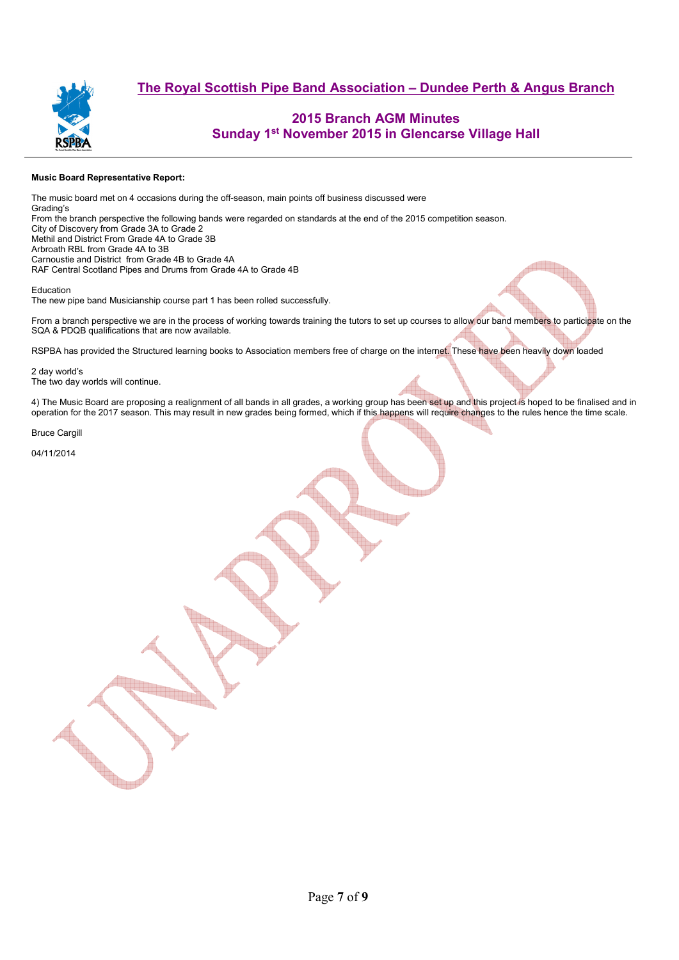

## **2015 Branch AGM Minutes Sunday 1st November 2015 in Glencarse Village Hall**

#### **Music Board Representative Report:**

The music board met on 4 occasions during the off-season, main points off business discussed were Grading's From the branch perspective the following bands were regarded on standards at the end of the 2015 competition season. City of Discovery from Grade 3A to Grade 2 Methil and District From Grade 4A to Grade 3B Arbroath RBL from Grade 4A to 3B Carnoustie and District from Grade 4B to Grade 4A RAF Central Scotland Pipes and Drums from Grade 4A to Grade 4B Education

The new pipe band Musicianship course part 1 has been rolled successfully.

From a branch perspective we are in the process of working towards training the tutors to set up courses to allow our band members to participate on the SQA & PDQB qualifications that are now available.

RSPBA has provided the Structured learning books to Association members free of charge on the internet. These have been heavily down loaded

2 day world's The two day worlds will continue.

4) The Music Board are proposing a realignment of all bands in all grades, a working group has been set up and this project is hoped to be finalised and in operation for the 2017 season. This may result in new grades being formed, which if this happens will require changes to the rules hence the time scale.

Bruce Cargill

04/11/2014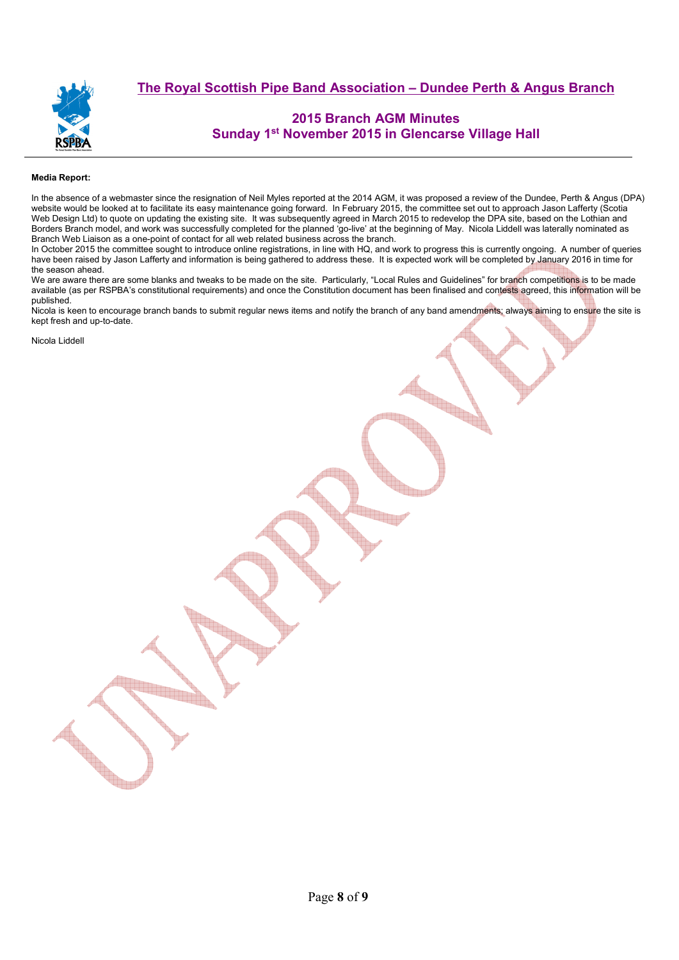

## **2015 Branch AGM Minutes Sunday 1st November 2015 in Glencarse Village Hall**

### **Media Report:**

In the absence of a webmaster since the resignation of Neil Myles reported at the 2014 AGM, it was proposed a review of the Dundee, Perth & Angus (DPA) website would be looked at to facilitate its easy maintenance going forward. In February 2015, the committee set out to approach Jason Lafferty (Scotia Web Design Ltd) to quote on updating the existing site. It was subsequently agreed in March 2015 to redevelop the DPA site, based on the Lothian and Borders Branch model, and work was successfully completed for the planned 'go-live' at the beginning of May. Nicola Liddell was laterally nominated as Branch Web Liaison as a one-point of contact for all web related business across the branch.

In October 2015 the committee sought to introduce online registrations, in line with HQ, and work to progress this is currently ongoing. A number of queries have been raised by Jason Lafferty and information is being gathered to address these. It is expected work will be completed by January 2016 in time for the season ahead.

We are aware there are some blanks and tweaks to be made on the site. Particularly, "Local Rules and Guidelines" for branch competitions is to be made available (as per RSPBA's constitutional requirements) and once the Constitution document has been finalised and contests agreed, this information will be published.

Nicola is keen to encourage branch bands to submit regular news items and notify the branch of any band amendments; always aiming to ensure the site is kept fresh and up-to-date.

Nicola Liddell